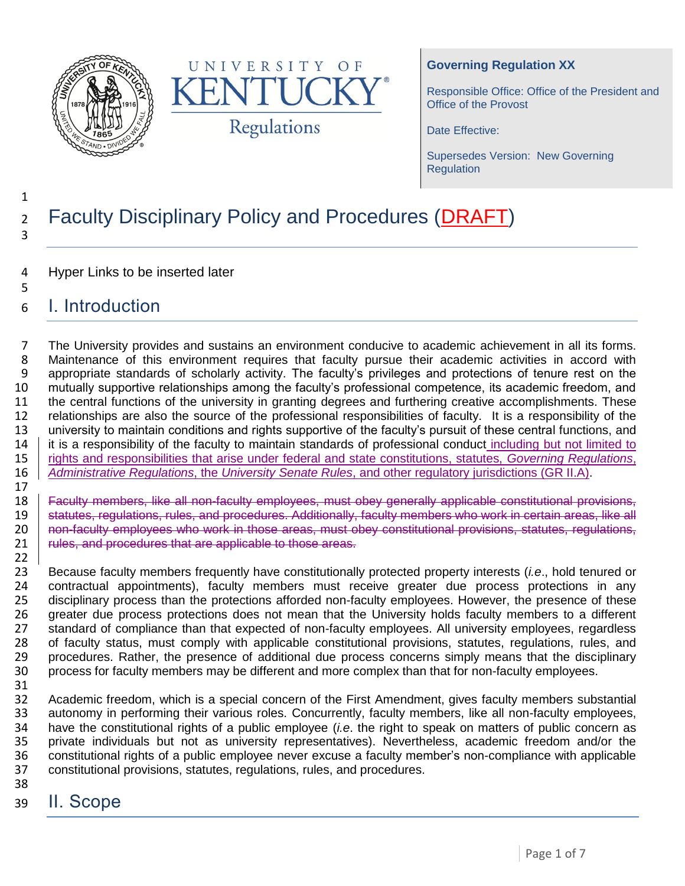



### **Governing Regulation XX**

Responsible Office: Office of the President and Office of the Provost

Date Effective:

Supersedes Version: New Governing **Regulation** 

## 2 Faculty Disciplinary Policy and Procedures (DRAFT) 3

- 4 Hyper Links to be inserted later
- 5 6 I. Introduction

7 The University provides and sustains an environment conducive to academic achievement in all its forms. 8 Maintenance of this environment requires that faculty pursue their academic activities in accord with 9 appropriate standards of scholarly activity. The faculty's privileges and protections of tenure rest on the<br>10 mutually supportive relationships among the faculty's professional competence, its academic freedom, and mutually supportive relationships among the faculty's professional competence, its academic freedom, and 11 the central functions of the university in granting degrees and furthering creative accomplishments. These 12 relationships are also the source of the professional responsibilities of faculty. It is a responsibility of the<br>13 university to maintain conditions and rights supportive of the faculty's pursuit of these central funct university to maintain conditions and rights supportive of the faculty's pursuit of these central functions, and 14 it is a responsibility of the faculty to maintain standards of professional conduct including but not limited to 15 rights and responsibilities that arise under federal and state constitutions, statutes, *Governing Regulations*, 16 *Administrative Regulations*, the *University Senate Rules*, and other regulatory jurisdictions (GR II.A).

 $\frac{17}{18}$ 

1

18 **Faculty members, like all non-faculty employees, must obey generally applicable constitutional provisions, <br>19 statutes, regulations, rules, and procedures, Additionally, faculty members who work in certain areas, like** 19 statutes, regulations, rules, and procedures. Additionally, faculty members who work in certain areas, like all<br>19 pon-faculty employees who work in those areas, must obey constitutional provisions, statutes, requlation 20 non-faculty employees who work in those areas, must obey constitutional provisions, statutes, regulations, <br>21 rules, and procedures that are applicable to those areas. rules, and procedures that are applicable to those areas.

22<br>23 Because faculty members frequently have constitutionally protected property interests (*i.e*., hold tenured or contractual appointments), faculty members must receive greater due process protections in any disciplinary process than the protections afforded non-faculty employees. However, the presence of these 26 greater due process protections does not mean that the University holds faculty members to a different<br>27 standard of compliance than that expected of non-faculty employees. All university employees, regardless 27 standard of compliance than that expected of non-faculty employees. All university employees, regardless<br>28 of faculty status, must comply with applicable constitutional provisions, statutes, regulations, rules, and of faculty status, must comply with applicable constitutional provisions, statutes, regulations, rules, and procedures. Rather, the presence of additional due process concerns simply means that the disciplinary process for faculty members may be different and more complex than that for non-faculty employees.

31

32 Academic freedom, which is a special concern of the First Amendment, gives faculty members substantial<br>33 autonomy in performing their various roles. Concurrently, faculty members, like all non-faculty employees, 33 autonomy in performing their various roles. Concurrently, faculty members, like all non-faculty employees,<br>34 have the constitutional rights of a public employee (*i.e.* the right to speak on matters of public concern a have the constitutional rights of a public employee *(i.e.* the right to speak on matters of public concern as 35 private individuals but not as university representatives). Nevertheless, academic freedom and/or the 36 constitutional rights of a public employee never excuse a faculty member's non-compliance with applicable 36 constitutional rights of a public employee never excuse a faculty member's non-compliance with applicable 37 constitutional provisions, statutes, regulations, rules, and procedures.

- 38
- 39 II. Scope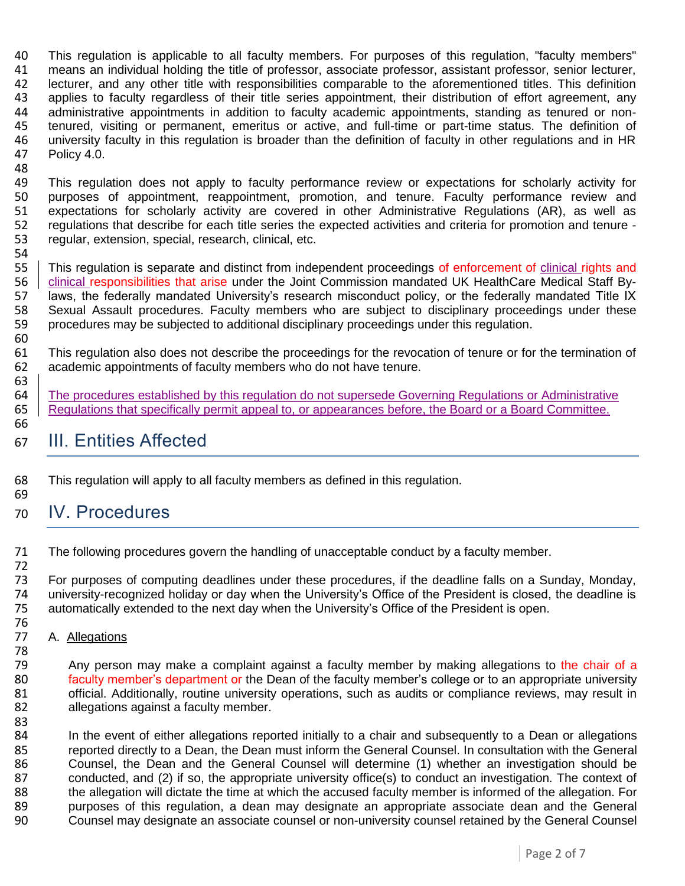40 This regulation is applicable to all faculty members. For purposes of this regulation, "faculty members"<br>41 means an individual holding the title of professor, associate professor, assistant professor, senior lecturer, means an individual holding the title of professor, associate professor, assistant professor, senior lecturer, lecturer, and any other title with responsibilities comparable to the aforementioned titles. This definition applies to faculty regardless of their title series appointment, their distribution of effort agreement, any administrative appointments in addition to faculty academic appointments, standing as tenured or non- tenured, visiting or permanent, emeritus or active, and full-time or part-time status. The definition of 46 university faculty in this regulation is broader than the definition of faculty in other regulations and in HR<br>47 Policy 4.0. Policy 4.0.

48<br>49

60

66

83

49 This regulation does not apply to faculty performance review or expectations for scholarly activity for<br>49 purposes of appointment, reappointment, promotion, and tenure. Faculty performance review and purposes of appointment, reappointment, promotion, and tenure. Faculty performance review and 51 expectations for scholarly activity are covered in other Administrative Regulations (AR), as well as 52 regulations that describe for each title series the expected activities and criteria for promotion and tenure -<br>53 regular, extension, special, research, clinical, etc. regular, extension, special, research, clinical, etc.

54<br>55 This regulation is separate and distinct from independent proceedings of enforcement of clinical rights and 56 | clinical responsibilities that arise under the Joint Commission mandated UK HealthCare Medical Staff By-<br>57 laws, the federally mandated University's research misconduct policy, or the federally mandated Title IX laws, the federally mandated University's research misconduct policy, or the federally mandated Title IX 58 Sexual Assault procedures. Faculty members who are subject to disciplinary proceedings under these 59 procedures may be subjected to additional disciplinary proceedings under this regulation.

61 This regulation also does not describe the proceedings for the revocation of tenure or for the termination of 62 academic appointments of faculty members who do not have tenure.

- 63<br>64 The procedures established by this regulation do not supersede Governing Regulations or Administrative 65 Regulations that specifically permit appeal to, or appearances before, the Board or a Board Committee.
- 67 III. Entities Affected
- 68 This regulation will apply to all faculty members as defined in this regulation.
- 69 70 IV. Procedures

71 The following procedures govern the handling of unacceptable conduct by a faculty member. 72

73 For purposes of computing deadlines under these procedures, if the deadline falls on a Sunday, Monday, 74 university-recognized holiday or day when the University's Office of the President is closed, the deadline is 75 automatically extended to the next day when the University's Office of the President is open. automatically extended to the next day when the University's Office of the President is open.

76<br>77 A. Allegations

78 79 Any person may make a complaint against a faculty member by making allegations to the chair of a 80 faculty member's department or the Dean of the faculty member's college or to an appropriate university 81 official. Additionally, routine university operations, such as audits or compliance reviews, may result in allequations against a faculty member. allegations against a faculty member.

84 In the event of either allegations reported initially to a chair and subsequently to a Dean or allegations<br>85 Theorted directly to a Dean, the Dean must inform the General Counsel. In consultation with the General 85 reported directly to a Dean, the Dean must inform the General Counsel. In consultation with the General<br>86 Counsel, the Dean and the General Counsel will determine (1) whether an investigation should be 86 Counsel, the Dean and the General Counsel will determine (1) whether an investigation should be 87 conducted, and (2) if so, the appropriate university office(s) to conduct an investigation. The context of 88 the allegation will dictate the time at which the accused faculty member is informed of the allegation. For<br>89 purposes of this regulation, a dean may designate an appropriate associate dean and the General 89 purposes of this regulation, a dean may designate an appropriate associate dean and the General<br>80 Counsel may designate an associate counsel or non-university counsel retained by the General Counsel 90 Counsel may designate an associate counsel or non-university counsel retained by the General Counsel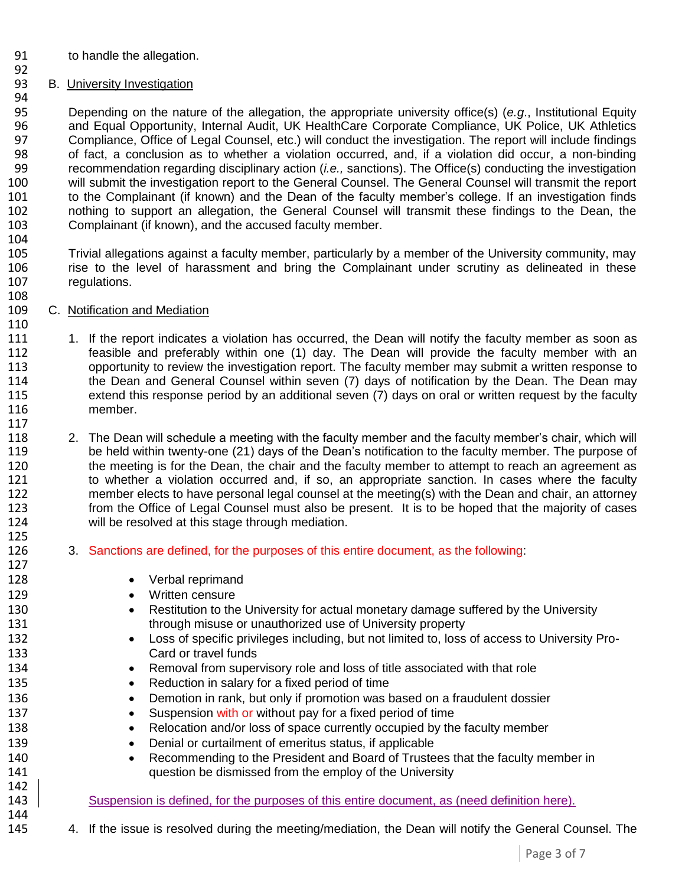- to handle the allegation.
- B. University Investigation

94<br>95 Depending on the nature of the allegation, the appropriate university office(s) (*e.g*., Institutional Equity and Equal Opportunity, Internal Audit, UK HealthCare Corporate Compliance, UK Police, UK Athletics 97 Compliance, Office of Legal Counsel, etc.) will conduct the investigation. The report will include findings<br>98 of fact. a conclusion as to whether a violation occurred, and, if a violation did occur, a non-binding of fact, a conclusion as to whether a violation occurred, and, if a violation did occur, a non-binding recommendation regarding disciplinary action (*i.e.,* sanctions). The Office(s) conducting the investigation 100 will submit the investigation report to the General Counsel. The General Counsel will transmit the report<br>101 to the Complainant (if known) and the Dean of the faculty member's college. If an investigation finds to the Complainant (if known) and the Dean of the faculty member's college. If an investigation finds nothing to support an allegation, the General Counsel will transmit these findings to the Dean, the Complainant (if known), and the accused faculty member.

104<br>105 Trivial allegations against a faculty member, particularly by a member of the University community, may rise to the level of harassment and bring the Complainant under scrutiny as delineated in these regulations.

- C. Notification and Mediation
- 111 1. If the report indicates a violation has occurred, the Dean will notify the faculty member as soon as feasible and preferably within one (1) day. The Dean will provide the faculty member with an opportunity to review the investigation report. The faculty member may submit a written response to 114 the Dean and General Counsel within seven (7) days of notification by the Dean. The Dean may extend this response period by an additional seven (7) days on oral or written request by the faculty member.
- 2. The Dean will schedule a meeting with the faculty member and the faculty member's chair, which will be held within twenty-one (21) days of the Dean's notification to the faculty member. The purpose of 120 the meeting is for the Dean, the chair and the faculty member to attempt to reach an agreement as<br>121 to whether a violation occurred and, if so, an appropriate sanction. In cases where the faculty to whether a violation occurred and, if so, an appropriate sanction. In cases where the faculty member elects to have personal legal counsel at the meeting(s) with the Dean and chair, an attorney from the Office of Legal Counsel must also be present. It is to be hoped that the majority of cases will be resolved at this stage through mediation.
- 3. Sanctions are defined, for the purposes of this entire document, as the following:
- **•** Verbal reprimand
- 129 Written censure
- **•** Restitution to the University for actual monetary damage suffered by the University through misuse or unauthorized use of University property
- **•** Loss of specific privileges including, but not limited to, loss of access to University Pro-Card or travel funds
- **••** Removal from supervisory role and loss of title associated with that role
- 135 e Reduction in salary for a fixed period of time
- **Demotion in rank, but only if promotion was based on a fraudulent dossier**
- **Suspension with or without pay for a fixed period of time**
- Relocation and/or loss of space currently occupied by the faculty member
- **Denial or curtailment of emeritus status, if applicable**
- **•** Recommending to the President and Board of Trustees that the faculty member in question be dismissed from the employ of the University
- 143 Suspension is defined, for the purposes of this entire document, as (need definition here).
- 4. If the issue is resolved during the meeting/mediation, the Dean will notify the General Counsel. The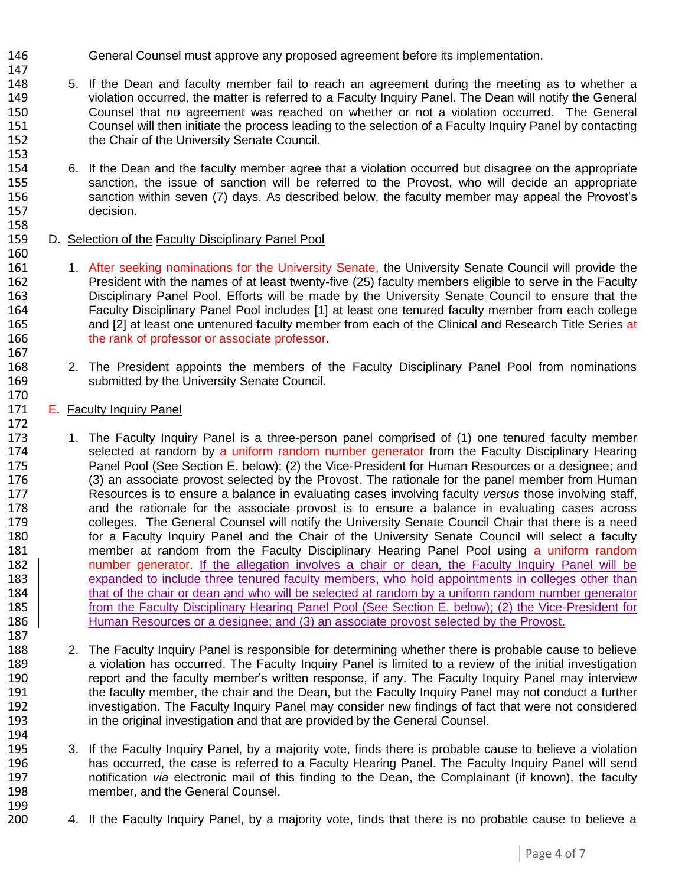- General Counsel must approve any proposed agreement before its implementation.
- 5. If the Dean and faculty member fail to reach an agreement during the meeting as to whether a violation occurred, the matter is referred to a Faculty Inquiry Panel. The Dean will notify the General Counsel that no agreement was reached on whether or not a violation occurred. The General Counsel will then initiate the process leading to the selection of a Faculty Inquiry Panel by contacting the Chair of the University Senate Council.
- 6. If the Dean and the faculty member agree that a violation occurred but disagree on the appropriate 155 sanction, the issue of sanction will be referred to the Provost, who will decide an appropriate<br>156 sanction within seven (7) days. As described below, the faculty member may appeal the Provost's sanction within seven (7) days. As described below, the faculty member may appeal the Provost's decision.
- D. Selection of the Faculty Disciplinary Panel Pool
- 161 1. After seeking nominations for the University Senate, the University Senate Council will provide the President with the names of at least twenty-five (25) faculty members eligible to serve in the Faculty Disciplinary Panel Pool. Efforts will be made by the University Senate Council to ensure that the Faculty Disciplinary Panel Pool includes [1] at least one tenured faculty member from each college and [2] at least one untenured faculty member from each of the Clinical and Research Title Series at 166 the rank of professor or associate professor.
- 2. The President appoints the members of the Faculty Disciplinary Panel Pool from nominations submitted by the University Senate Council.
- E. Faculty Inquiry Panel

- 173 1. The Faculty Inquiry Panel is a three-person panel comprised of (1) one tenured faculty member 174 selected at random by a uniform random number generator from the Faculty Disciplinary Hearing Panel Pool (See Section E. below); (2) the Vice-President for Human Resources or a designee; and (3) an associate provost selected by the Provost. The rationale for the panel member from Human Resources is to ensure a balance in evaluating cases involving faculty *versus* those involving staff, and the rationale for the associate provost is to ensure a balance in evaluating cases across colleges. The General Counsel will notify the University Senate Council Chair that there is a need 180 for a Faculty Inquiry Panel and the Chair of the University Senate Council will select a faculty member at random from the Faculty Disciplinary Hearing Panel Pool using a uniform random 182 number generator. If the allegation involves a chair or dean, the Faculty Inquiry Panel will be 183 expanded to include three tenured faculty members, who hold appointments in colleges other than 184 that of the chair or dean and who will be selected at random by a uniform random number generator from the Faculty Disciplinary Hearing Panel Pool (See Section E. below); (2) the Vice-President for **Human Resources or a designee; and (3) an associate provost selected by the Provost.**
- 2. The Faculty Inquiry Panel is responsible for determining whether there is probable cause to believe 189 a violation has occurred. The Faculty Inquiry Panel is limited to a review of the initial investigation<br>190 seeport and the faculty member's written response, if any. The Faculty Inquiry Panel may interview report and the faculty member's written response, if any. The Faculty Inquiry Panel may interview the faculty member, the chair and the Dean, but the Faculty Inquiry Panel may not conduct a further investigation. The Faculty Inquiry Panel may consider new findings of fact that were not considered in the original investigation and that are provided by the General Counsel.
- 3. If the Faculty Inquiry Panel, by a majority vote, finds there is probable cause to believe a violation has occurred, the case is referred to a Faculty Hearing Panel. The Faculty Inquiry Panel will send notification *via* electronic mail of this finding to the Dean, the Complainant (if known), the faculty member, and the General Counsel.
- 4. If the Faculty Inquiry Panel, by a majority vote, finds that there is no probable cause to believe a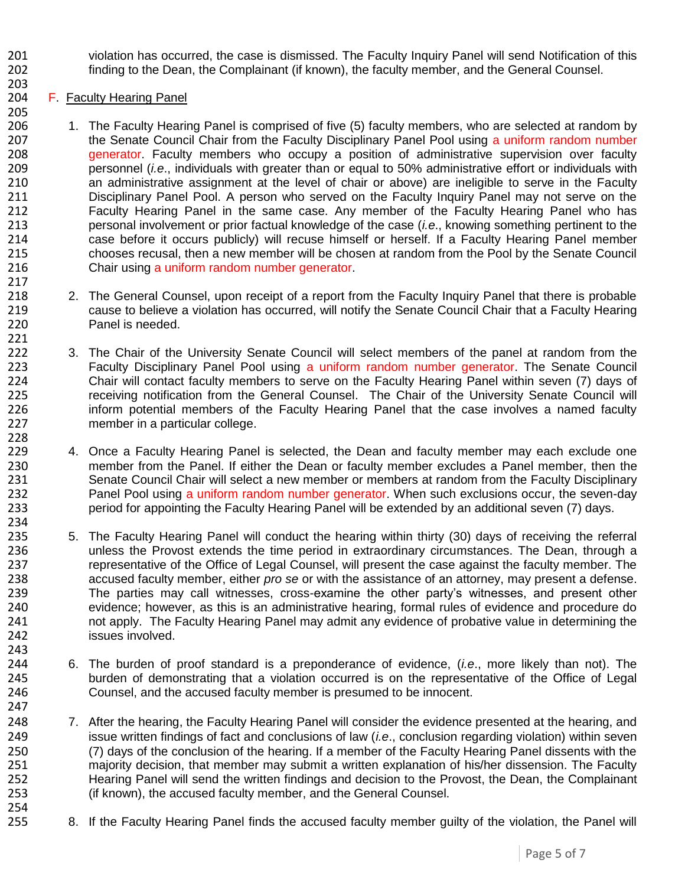- 201 violation has occurred, the case is dismissed. The Faculty Inquiry Panel will send Notification of this<br>202 finding to the Dean, the Complainant (if known), the faculty member, and the General Counsel. finding to the Dean, the Complainant (if known), the faculty member, and the General Counsel.
- F. Faculty Hearing Panel

- 1. The Faculty Hearing Panel is comprised of five (5) faculty members, who are selected at random by 207 the Senate Council Chair from the Faculty Disciplinary Panel Pool using a uniform random number<br>208 **1998 Taylor Contracts** and the members who occupy a position of administrative supervision over faculty generator. Faculty members who occupy a position of administrative supervision over faculty personnel (*i.e*., individuals with greater than or equal to 50% administrative effort or individuals with an administrative assignment at the level of chair or above) are ineligible to serve in the Faculty Disciplinary Panel Pool. A person who served on the Faculty Inquiry Panel may not serve on the Faculty Hearing Panel in the same case. Any member of the Faculty Hearing Panel who has personal involvement or prior factual knowledge of the case (*i.e*., knowing something pertinent to the 214 case before it occurs publicly) will recuse himself or herself. If a Faculty Hearing Panel member<br>215 chooses recusal, then a new member will be chosen at random from the Pool by the Senate Council chooses recusal, then a new member will be chosen at random from the Pool by the Senate Council 216 Chair using a uniform random number generator.
- 218 218 2. The General Counsel, upon receipt of a report from the Faculty Inquiry Panel that there is probable cause to believe a violation has occurred, will notify the Senate Council Chair that a Faculty Hearing Panel is needed.
- 3. The Chair of the University Senate Council will select members of the panel at random from the **Faculty Disciplinary Panel Pool using a uniform random number generator. The Senate Council** 224 Chair will contact faculty members to serve on the Faculty Hearing Panel within seven (7) days of<br>225 The Council will contrication from the General Counsel. The Chair of the University Senate Council will receiving notification from the General Counsel. The Chair of the University Senate Council will 226 inform potential members of the Faculty Hearing Panel that the case involves a named faculty member in a particular college.
- 4. Once a Faculty Hearing Panel is selected, the Dean and faculty member may each exclude one 230 member from the Panel. If either the Dean or faculty member excludes a Panel member, then the<br>231 Senate Council Chair will select a new member or members at random from the Faculty Disciplinary Senate Council Chair will select a new member or members at random from the Faculty Disciplinary 232 Panel Pool using a uniform random number generator. When such exclusions occur, the seven-day period for appointing the Faculty Hearing Panel will be extended by an additional seven (7) days.
- 5. The Faculty Hearing Panel will conduct the hearing within thirty (30) days of receiving the referral unless the Provost extends the time period in extraordinary circumstances. The Dean, through a representative of the Office of Legal Counsel, will present the case against the faculty member. The accused faculty member, either *pro se* or with the assistance of an attorney, may present a defense. The parties may call witnesses, cross-examine the other party's witnesses, and present other 240 evidence; however, as this is an administrative hearing, formal rules of evidence and procedure do<br>241 on the Faculty Hearing Panel may admit any evidence of probative value in determining the not apply. The Faculty Hearing Panel may admit any evidence of probative value in determining the issues involved.
- 6. The burden of proof standard is a preponderance of evidence, (*i.e*., more likely than not). The burden of demonstrating that a violation occurred is on the representative of the Office of Legal Counsel, and the accused faculty member is presumed to be innocent.
- 7. After the hearing, the Faculty Hearing Panel will consider the evidence presented at the hearing, and issue written findings of fact and conclusions of law (*i.e.*, conclusion regarding violation) within seven<br>250 (7) davs of the conclusion of the hearing. If a member of the Faculty Hearing Panel dissents with the (7) days of the conclusion of the hearing. If a member of the Faculty Hearing Panel dissents with the majority decision, that member may submit a written explanation of his/her dissension. The Faculty Hearing Panel will send the written findings and decision to the Provost, the Dean, the Complainant (if known), the accused faculty member, and the General Counsel.
- 8. If the Faculty Hearing Panel finds the accused faculty member guilty of the violation, the Panel will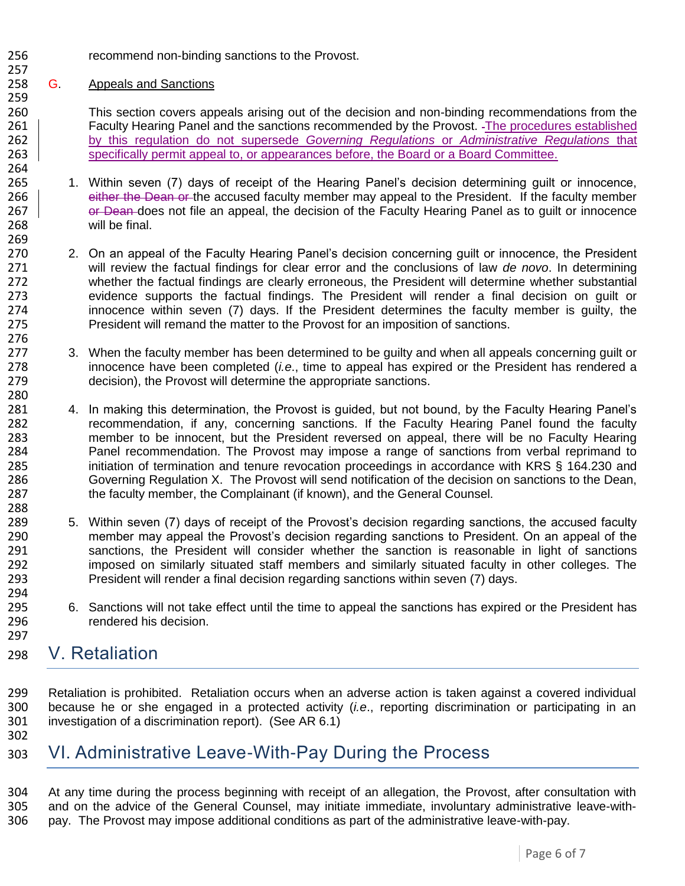recommend non-binding sanctions to the Provost. 

## G. Appeals and Sanctions

 This section covers appeals arising out of the decision and non-binding recommendations from the 261 Faculty Hearing Panel and the sanctions recommended by the Provost. The procedures established by this regulation do not supersede *Governing Regulations* or *Administrative Regulations* that 263 specifically permit appeal to, or appearances before, the Board or a Board Committee.

- 1. Within seven (7) days of receipt of the Hearing Panel's decision determining guilt or innocence, 266 either the Dean or the accused faculty member may appeal to the President. If the faculty member **or Dean does not file an appeal, the decision of the Faculty Hearing Panel as to guilt or innocence** will be final.
- 270 2. On an appeal of the Faculty Hearing Panel's decision concerning quilt or innocence, the President will review the factual findings for clear error and the conclusions of law *de novo*. In determining whether the factual findings are clearly erroneous, the President will determine whether substantial evidence supports the factual findings. The President will render a final decision on guilt or innocence within seven (7) days. If the President determines the faculty member is guilty, the President will remand the matter to the Provost for an imposition of sanctions.
- 3. When the faculty member has been determined to be guilty and when all appeals concerning guilt or innocence have been completed (*i.e*., time to appeal has expired or the President has rendered a decision), the Provost will determine the appropriate sanctions.
- 4. In making this determination, the Provost is guided, but not bound, by the Faculty Hearing Panel's recommendation, if any, concerning sanctions. If the Faculty Hearing Panel found the faculty 283 member to be innocent, but the President reversed on appeal, there will be no Faculty Hearing<br>284 Panel recommendation. The Provost may impose a range of sanctions from verbal reprimand to Panel recommendation. The Provost may impose a range of sanctions from verbal reprimand to initiation of termination and tenure revocation proceedings in accordance with KRS § 164.230 and Governing Regulation X. The Provost will send notification of the decision on sanctions to the Dean, 287 the faculty member, the Complainant (if known), and the General Counsel.
- 5. Within seven (7) days of receipt of the Provost's decision regarding sanctions, the accused faculty member may appeal the Provost's decision regarding sanctions to President. On an appeal of the sanctions, the President will consider whether the sanction is reasonable in light of sanctions imposed on similarly situated staff members and similarly situated faculty in other colleges. The President will render a final decision regarding sanctions within seven (7) days.
- 295 6. Sanctions will not take effect until the time to appeal the sanctions has expired or the President has 296 rendered his decision.

# V. Retaliation

 Retaliation is prohibited. Retaliation occurs when an adverse action is taken against a covered individual because he or she engaged in a protected activity (*i.e*., reporting discrimination or participating in an investigation of a discrimination report). (See AR 6.1) 

# VI. Administrative Leave-With-Pay During the Process

 At any time during the process beginning with receipt of an allegation, the Provost, after consultation with and on the advice of the General Counsel, may initiate immediate, involuntary administrative leave-with-pay. The Provost may impose additional conditions as part of the administrative leave-with-pay.